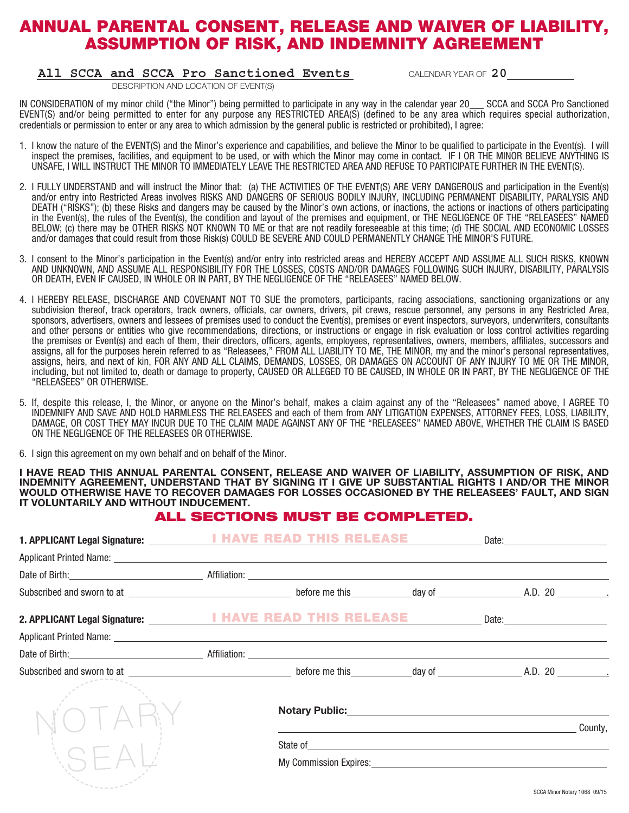## ANNUAL PARENTAL CONSENT, RELEASE AND WAIVER OF LIABILITY, ASSUMPTION OF RISK, AND INDEMNITY AGREEMENT

### **All SCCA and SCCA Pro Sanctioned Events** CALENDAR YEAR OF **20**

*DESCRIPTION AND LOCATION OF EVENT(S)* 

IN CONSIDERATION of my minor child ("the Minor") being permitted to participate in any way in the calendar year 20 SCCA and SCCA Pro Sanctioned EVENT(S) and/or being permitted to enter for any purpose any RESTRICTED AREA(S) (defined to be any area which requires special authorization, credentials or permission to enter or any area to which admission by the general public is restricted or prohibited), I agree:

- 1. I know the nature of the EVENT(S) and the Minor's experience and capabilities, and believe the Minor to be qualified to participate in the Event(s). I will inspect the premises, facilities, and equipment to be used, or with which the Minor may come in contact. IF I OR THE MINOR BELIEVE ANYTHING IS UNSAFE, I WILL INSTRUCT THE MINOR TO IMMEDIATELY LEAVE THE RESTRICTED AREA AND REFUSE TO PARTICIPATE FURTHER IN THE EVENT(S).
- 2. I FULLY UNDERSTAND and will instruct the Minor that: (a) THE ACTIVITIES OF THE EVENT(S) ARE VERY DANGEROUS and participation in the Event(s) and/or entry into Restricted Areas involves RISKS AND DANGERS OF SERIOUS BODILY INJURY, INCLUDING PERMANENT DISABILITY, PARALYSIS AND DEATH ("RISKS"); (b) these Risks and dangers may be caused by the Minor's own actions, or inactions, the actions or inactions of others participating in the Event(s), the rules of the Event(s), the condition and layout of the premises and equipment, or THE NEGLIGENCE OF THE "RELEASEES" NAMED BELOW; (c) there may be OTHER RISKS NOT KNOWN TO ME or that are not readily foreseeable at this time; (d) THE SOCIAL AND ECONOMIC LOSSES and/or damages that could result from those Risk(s) COULD BE SEVERE AND COULD PERMANENTLY CHANGE THE MINOR'S FUTURE.
- 3. I consent to the Minor's participation in the Event(s) and/or entry into restricted areas and HEREBY ACCEPT AND ASSUME ALL SUCH RISKS, KNOWN AND UNKNOWN, AND ASSUME ALL RESPONSIBILITY FOR THE LOSSES, COSTS AND/OR DAMAGES FOLLOWING SUCH INJURY, DISABILITY, PARALYSIS OR DEATH, EVEN IF CAUSED, IN WHOLE OR IN PART, BY THE NEGLIGENCE OF THE "RELEASEES" NAMED BELOW.
- 4. I HEREBY RELEASE, DISCHARGE AND COVENANT NOT TO SUE the promoters, participants, racing associations, sanctioning organizations or any subdivision thereof, track operators, track owners, officials, car owners, drivers, pit crews, rescue personnel, any persons in any Restricted Area, sponsors, advertisers, owners and lessees of premises used to conduct the Event(s), premises or event inspectors, surveyors, underwriters, consultants and other persons or entities who give recommendations, directions, or instructions or engage in risk evaluation or loss control activities regarding the premises or Event(s) and each of them, their directors, officers, agents, employees, representatives, owners, members, affiliates, successors and assigns, all for the purposes herein referred to as "Releasees," FROM ALL LIABILITY TO ME, THE MINOR, my and the minor's personal representatives, assigns, heirs, and next of kin, FOR ANY AND ALL CLAIMS, DEMANDS, LOSSES, OR DAMAGES ON ACCOUNT OF ANY INJURY TO ME OR THE MINOR, including, but not limited to, death or damage to property, CAUSED OR ALLEGED TO BE CAUSED, IN WHOLE OR IN PART, BY THE NEGLIGENCE OF THE "RELEASEES" OR OTHERWISE.
- 5. If, despite this release, I, the Minor, or anyone on the Minor's behalf, makes a claim against any of the "Releasees" named above, I AGREE TO INDEMNIFY AND SAVE AND HOLD HARMLESS THE RELEASEES and each of them from ANY LITIGATION EXPENSES, ATTORNEY FEES, LOSS, LIABILITY, DAMAGE, OR COST THEY MAY INCUR DUE TO THE CLAIM MADE AGAINST ANY OF THE "RELEASEES" NAMED ABOVE, WHETHER THE CLAIM IS BASED ON THE NEGLIGENCE OF THE RELEASEES OR OTHERWISE.
- 6. I sign this agreement on my own behalf and on behalf of the Minor.

**I HAVE READ THIS ANNUAL PARENTAL CONSENT, RELEASE AND WAIVER OF LIABILITY, ASSUMPTION OF RISK, AND INDEMNITY AGREEMENT, UNDERSTAND THAT BY SIGNING IT I GIVE UP SUBSTANTIAL RIGHTS I AND/OR THE MINOR WOULD OTHERWISE HAVE TO RECOVER DAMAGES FOR LOSSES OCCASIONED BY THE RELEASEES' FAULT, AND SIGN IT VOLUNTARILY AND WITHOUT INDUCEMENT.**

### ALL SECTIONS MUST BE COMPLETED.

|                                                                                                                                                                                                                                         | EAD                                                                                                                    | <b>THIS RELEASE _______</b> |                                                                                                                               |         |
|-----------------------------------------------------------------------------------------------------------------------------------------------------------------------------------------------------------------------------------------|------------------------------------------------------------------------------------------------------------------------|-----------------------------|-------------------------------------------------------------------------------------------------------------------------------|---------|
| Applicant Printed Name: North States and States and States and States and States and States and States and States and States and States and States and States and States and States and States and States and States and State          |                                                                                                                        |                             |                                                                                                                               |         |
|                                                                                                                                                                                                                                         |                                                                                                                        |                             |                                                                                                                               |         |
|                                                                                                                                                                                                                                         |                                                                                                                        |                             |                                                                                                                               |         |
|                                                                                                                                                                                                                                         | THIS.                                                                                                                  |                             | <b>RELEASE</b> Date: <u>Date: Date: Date: Date: Date: Date: Date: Date: Date: Date: Date: Date: Date: Date: Date: Date: D</u> |         |
|                                                                                                                                                                                                                                         |                                                                                                                        |                             |                                                                                                                               |         |
| Date of Birth: <u>Contract Communication</u> Affiliation: <u>Communication of the Communication</u> of Birth: Communication of the Communication of the Communication of the Communication of the Communication of the Communication of |                                                                                                                        |                             |                                                                                                                               |         |
|                                                                                                                                                                                                                                         |                                                                                                                        |                             |                                                                                                                               |         |
|                                                                                                                                                                                                                                         | <b>Notary Public:</b> Notary Public:                                                                                   |                             |                                                                                                                               |         |
|                                                                                                                                                                                                                                         |                                                                                                                        |                             |                                                                                                                               | County, |
|                                                                                                                                                                                                                                         | State of <u>and a second contract of the state of the state of the state of the state of the state of the state of</u> |                             |                                                                                                                               |         |
|                                                                                                                                                                                                                                         |                                                                                                                        |                             |                                                                                                                               |         |
|                                                                                                                                                                                                                                         |                                                                                                                        |                             |                                                                                                                               |         |